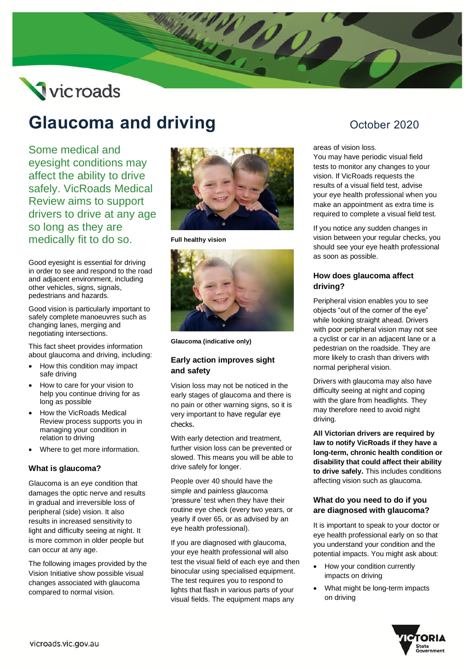# Vicroads

## **Glaucoma and driving Construction Construction Construction Construction Construction October 2020**

Some medical and eyesight conditions may affect the ability to drive safely. VicRoads Medical Review aims to support drivers to drive at any age so long as they are medically fit to do so.

Good eyesight is essential for driving in order to see and respond to the road and adjacent environment, including other vehicles, signs, signals, pedestrians and hazards.

Good vision is particularly important to safely complete manoeuvres such as changing lanes, merging and negotiating intersections.

This fact sheet provides information about glaucoma and driving, including:

- How this condition may impact safe driving
- How to care for your vision to help you continue driving for as long as possible
- How the VicRoads Medical Review process supports you in managing your condition in relation to driving
- Where to get more information.

#### **What is glaucoma?**

Glaucoma is an eye condition that damages the optic nerve and results in gradual and irreversible loss of peripheral (side) vision. It also results in increased sensitivity to light and difficulty seeing at night. It is more common in older people but can occur at any age.

The following images provided by the Vision Initiative show possible visual changes associated with glaucoma compared to normal vision.



**CONSTANTIAL CONSTRUCTION** 

**Full healthy vision**



**Glaucoma (indicative only)**

#### **Early action improves sight and safety**

Vision loss may not be noticed in the early stages of glaucoma and there is no pain or other warning signs, so it is very important to have regular eye checks.

With early detection and treatment, further vision loss can be prevented or slowed. This means you will be able to drive safely for longer.

People over 40 should have the simple and painless glaucoma 'pressure' test when they have their routine eye check (every two years, or yearly if over 65, or as advised by an eye health professional).

If you are diagnosed with glaucoma, your eye health professional will also test the visual field of each eye and then binocular using specialised equipment. The test requires you to respond to lights that flash in various parts of your visual fields. The equipment maps any

areas of vision loss.

You may have periodic visual field tests to monitor any changes to your vision. If VicRoads requests the results of a visual field test, advise your eye health professional when you make an appointment as extra time is required to complete a visual field test.

If you notice any sudden changes in vision between your regular checks, you should see your eye health professional as soon as possible.

#### **How does glaucoma affect driving?**

Peripheral vision enables you to see objects "out of the corner of the eye" while looking straight ahead. Drivers with poor peripheral vision may not see a cyclist or car in an adjacent lane or a pedestrian on the roadside. They are more likely to crash than drivers with normal peripheral vision.

Drivers with glaucoma may also have difficulty seeing at night and coping with the glare from headlights. They may therefore need to avoid night driving.

**All Victorian drivers are required by law to notify VicRoads if they have a long-term, chronic health condition or disability that could affect their ability to drive safely.** This includes conditions affecting vision such as glaucoma.

#### **What do you need to do if you are diagnosed with glaucoma?**

It is important to speak to your doctor or eye health professional early on so that you understand your condition and the potential impacts. You might ask about:

- How your condition currently impacts on driving
- What might be long-term impacts on driving